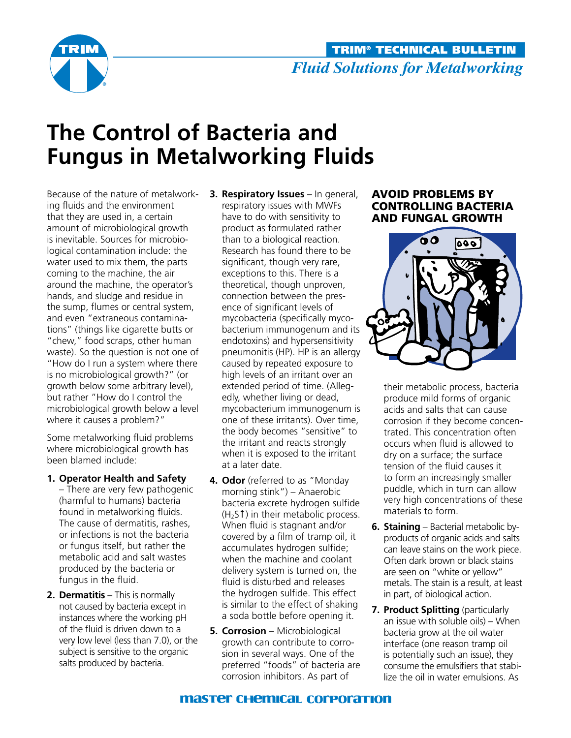

# **The Control of Bacteria and Fungus in Metalworking Fluids**

Because of the nature of metalworking fluids and the environment that they are used in, a certain amount of microbiological growth is inevitable. Sources for microbiological contamination include: the water used to mix them, the parts coming to the machine, the air around the machine, the operator's hands, and sludge and residue in the sump, flumes or central system, and even "extraneous contaminations" (things like cigarette butts or "chew," food scraps, other human waste). So the question is not one of "How do I run a system where there is no microbiological growth?" (or growth below some arbitrary level), but rather "How do I control the microbiological growth below a level where it causes a problem?"

Some metalworking fluid problems where microbiological growth has been blamed include:

**1. Operator Health and Safety**

– There are very few pathogenic (harmful to humans) bacteria found in metalworking fluids. The cause of dermatitis, rashes, or infections is not the bacteria or fungus itself, but rather the metabolic acid and salt wastes produced by the bacteria or fungus in the fluid.

**2. Dermatitis** – This is normally not caused by bacteria except in instances where the working pH of the fluid is driven down to a very low level (less than 7.0), or the subject is sensitive to the organic salts produced by bacteria.

- **3. Respiratory Issues** In general, respiratory issues with MWFs have to do with sensitivity to product as formulated rather than to a biological reaction. Research has found there to be significant, though very rare, exceptions to this. There is a theoretical, though unproven, connection between the presence of significant levels of mycobacteria (specifically mycobacterium immunogenum and its endotoxins) and hypersensitivity pneumonitis (HP). HP is an allergy caused by repeated exposure to high levels of an irritant over an extended period of time. (Allegedly, whether living or dead, mycobacterium immunogenum is one of these irritants). Over time, the body becomes "sensitive" to the irritant and reacts strongly when it is exposed to the irritant at a later date.
- **4. Odor** (referred to as "Monday morning stink") – Anaerobic bacteria excrete hydrogen sulfide  $(H<sub>2</sub>S<sup>†</sup>)$  in their metabolic process. When fluid is stagnant and/or covered by a film of tramp oil, it accumulates hydrogen sulfide; when the machine and coolant delivery system is turned on, the fluid is disturbed and releases the hydrogen sulfide. This effect is similar to the effect of shaking a soda bottle before opening it.
- **5. Corrosion** Microbiological growth can contribute to corrosion in several ways. One of the preferred "foods" of bacteria are corrosion inhibitors. As part of

## AVOID PROBLEMS BY Controlling Bacteria and fungal Growth



their metabolic process, bacteria produce mild forms of organic acids and salts that can cause corrosion if they become concentrated. This concentration often occurs when fluid is allowed to dry on a surface; the surface tension of the fluid causes it to form an increasingly smaller puddle, which in turn can allow very high concentrations of these materials to form.

- **6. Staining** Bacterial metabolic byproducts of organic acids and salts can leave stains on the work piece. Often dark brown or black stains are seen on "white or yellow" metals. The stain is a result, at least in part, of biological action.
- **7. Product Splitting** (particularly an issue with soluble oils) – When bacteria grow at the oil water interface (one reason tramp oil is potentially such an issue), they consume the emulsifiers that stabilize the oil in water emulsions. As